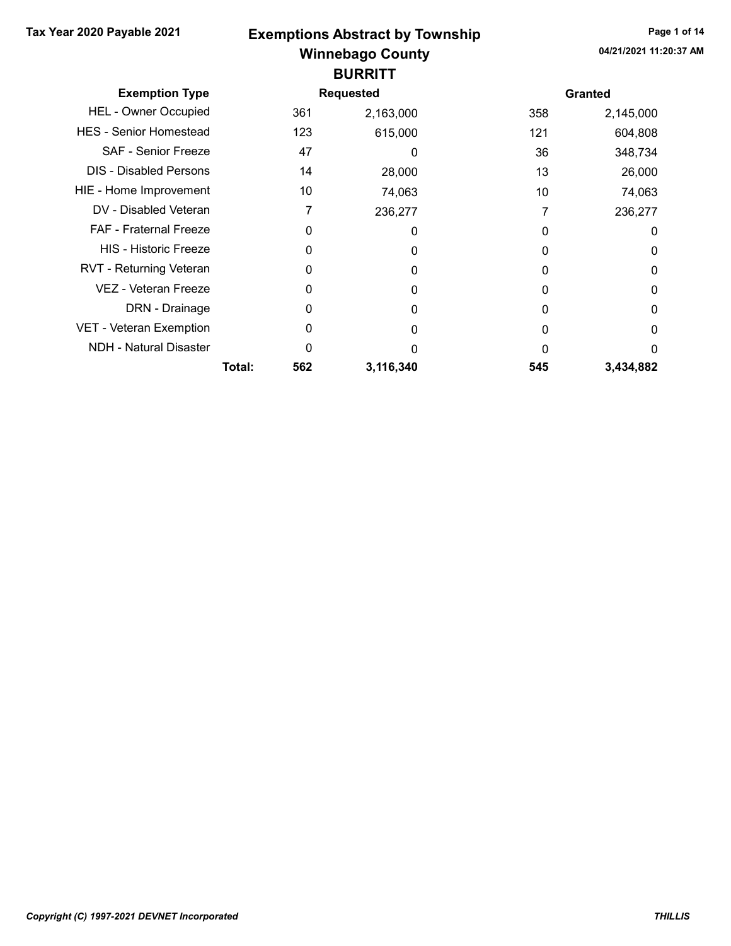### Winnebago County Tax Year 2020 Payable 2021 **Exemptions Abstract by Township** Page 1 of 14 **BURRITT**

| <b>Exemption Type</b>         |        |     | <b>Requested</b> |              | <b>Granted</b> |
|-------------------------------|--------|-----|------------------|--------------|----------------|
| <b>HEL - Owner Occupied</b>   |        | 361 | 2,163,000        | 358          | 2,145,000      |
| <b>HES - Senior Homestead</b> |        | 123 | 615,000          | 121          | 604,808        |
| SAF - Senior Freeze           |        | 47  | 0                | 36           | 348,734        |
| <b>DIS</b> - Disabled Persons |        | 14  | 28,000           | 13           | 26,000         |
| HIE - Home Improvement        |        | 10  | 74,063           | 10           | 74,063         |
| DV - Disabled Veteran         |        |     | 236,277          |              | 236,277        |
| <b>FAF</b> - Fraternal Freeze |        | 0   | 0                | 0            | 0              |
| <b>HIS - Historic Freeze</b>  |        | O   | 0                | <sup>0</sup> | 0              |
| RVT - Returning Veteran       |        | 0   | 0                | 0            | 0              |
| VEZ - Veteran Freeze          |        | O   | 0                | 0            | 0              |
| DRN - Drainage                |        | 0   | $\Omega$         | 0            | 0              |
| VET - Veteran Exemption       |        | 0   | 0                | 0            | 0              |
| NDH - Natural Disaster        |        | O   | O                | <sup>0</sup> | 0              |
|                               | Total: | 562 | 3,116,340        | 545          | 3,434,882      |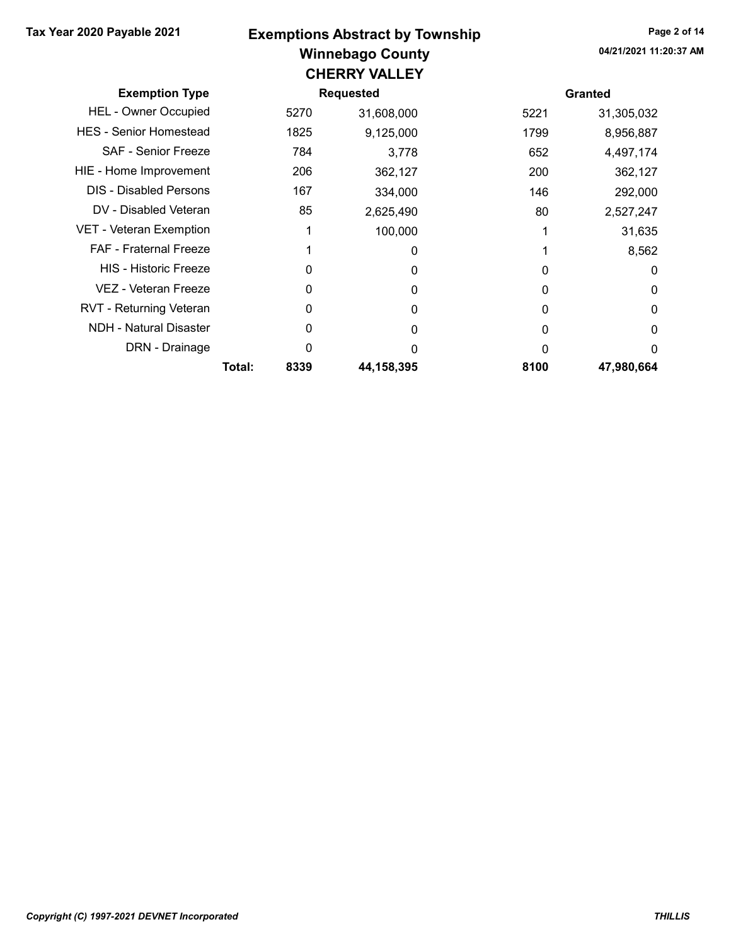### Winnebago County Tax Year 2020 Payable 2021 **Exemptions Abstract by Township** Page 2 of 14 CHERRY VALLEY

| -.                             |        |      |                  |      |                |  |  |  |  |
|--------------------------------|--------|------|------------------|------|----------------|--|--|--|--|
| <b>Exemption Type</b>          |        |      | <b>Requested</b> |      | <b>Granted</b> |  |  |  |  |
| <b>HEL - Owner Occupied</b>    |        | 5270 | 31,608,000       | 5221 | 31,305,032     |  |  |  |  |
| <b>HES</b> - Senior Homestead  |        | 1825 | 9,125,000        | 1799 | 8,956,887      |  |  |  |  |
| <b>SAF - Senior Freeze</b>     |        | 784  | 3,778            | 652  | 4,497,174      |  |  |  |  |
| HIE - Home Improvement         |        | 206  | 362,127          | 200  | 362,127        |  |  |  |  |
| <b>DIS</b> - Disabled Persons  |        | 167  | 334,000          | 146  | 292,000        |  |  |  |  |
| DV - Disabled Veteran          |        | 85   | 2,625,490        | 80   | 2,527,247      |  |  |  |  |
| <b>VET - Veteran Exemption</b> |        | 1    | 100,000          |      | 31,635         |  |  |  |  |
| <b>FAF</b> - Fraternal Freeze  |        |      | 0                |      | 8,562          |  |  |  |  |
| <b>HIS - Historic Freeze</b>   |        | 0    | 0                | O    | 0              |  |  |  |  |
| VEZ - Veteran Freeze           |        | 0    | 0                | 0    | 0              |  |  |  |  |
| RVT - Returning Veteran        |        | 0    | 0                | O    | 0              |  |  |  |  |
| <b>NDH - Natural Disaster</b>  |        | ი    | 0                | O    | 0              |  |  |  |  |
| DRN - Drainage                 |        | 0    | O                | O    | $\Omega$       |  |  |  |  |
|                                | Total: | 8339 | 44,158,395       | 8100 | 47,980,664     |  |  |  |  |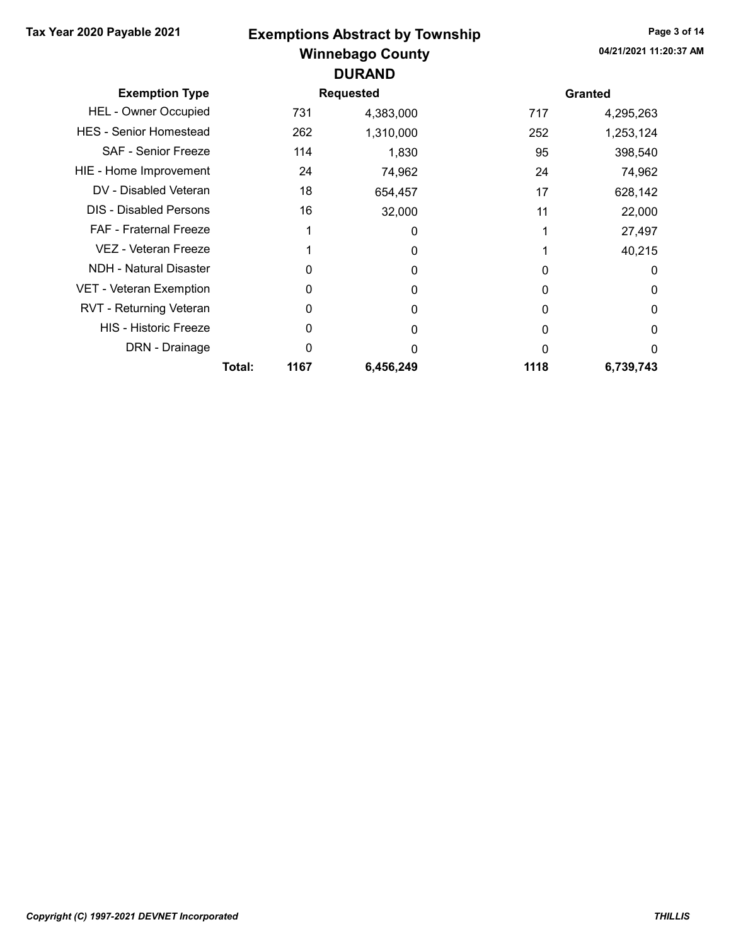# Winnebago County Tax Year 2020 Payable 2021 **Exemptions Abstract by Township** Page 3 of 14 DURAND

| <b>Exemption Type</b>         |        |      | <b>Requested</b> |      | <b>Granted</b> |
|-------------------------------|--------|------|------------------|------|----------------|
| <b>HEL - Owner Occupied</b>   |        | 731  | 4,383,000        | 717  | 4,295,263      |
| <b>HES - Senior Homestead</b> |        | 262  | 1,310,000        | 252  | 1,253,124      |
| SAF - Senior Freeze           |        | 114  | 1,830            | 95   | 398,540        |
| HIE - Home Improvement        |        | 24   | 74,962           | 24   | 74,962         |
| DV - Disabled Veteran         |        | 18   | 654,457          | 17   | 628,142        |
| <b>DIS</b> - Disabled Persons |        | 16   | 32,000           | 11   | 22,000         |
| FAF - Fraternal Freeze        |        |      | 0                |      | 27,497         |
| VEZ - Veteran Freeze          |        |      | 0                |      | 40,215         |
| <b>NDH - Natural Disaster</b> |        | 0    | 0                | 0    | 0              |
| VET - Veteran Exemption       |        | 0    | 0                | 0    | 0              |
| RVT - Returning Veteran       |        | 0    | 0                | 0    | 0              |
| <b>HIS - Historic Freeze</b>  |        | 0    | 0                | 0    | 0              |
| DRN - Drainage                |        | 0    | O                | ი    | $\Omega$       |
|                               | Total: | 1167 | 6,456,249        | 1118 | 6,739,743      |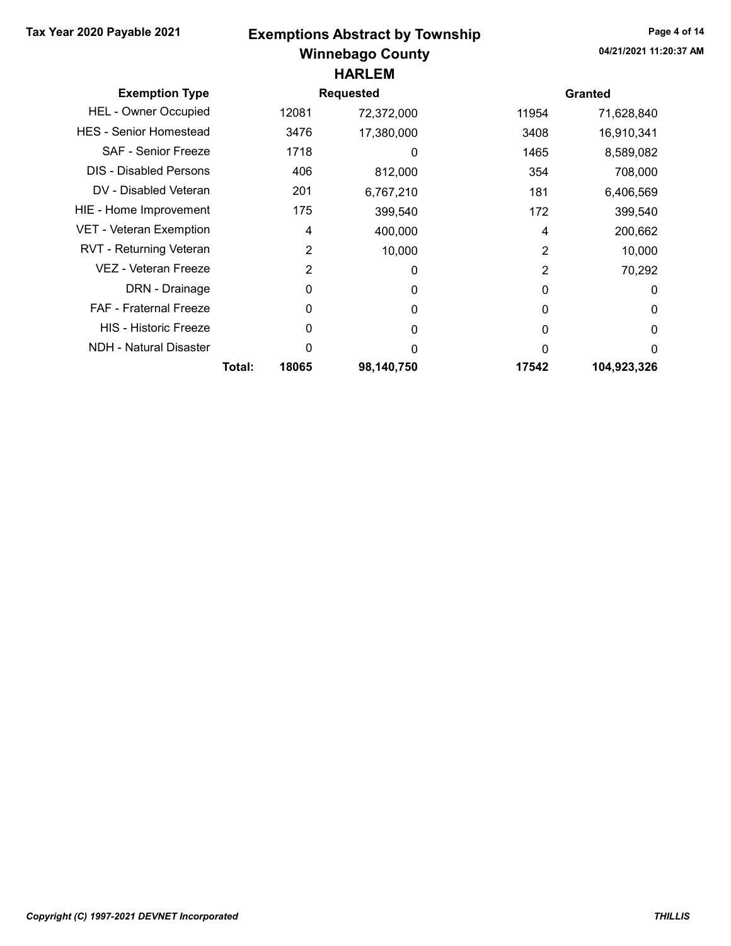## Winnebago County Tax Year 2020 Payable 2021 **Exemptions Abstract by Township** Page 4 of 14 HARLEM

| <b>Exemption Type</b>         |        |       | <b>Requested</b> |                | <b>Granted</b> |
|-------------------------------|--------|-------|------------------|----------------|----------------|
| <b>HEL - Owner Occupied</b>   |        | 12081 | 72,372,000       | 11954          | 71,628,840     |
| <b>HES - Senior Homestead</b> |        | 3476  | 17,380,000       | 3408           | 16,910,341     |
| SAF - Senior Freeze           |        | 1718  | 0                | 1465           | 8,589,082      |
| <b>DIS - Disabled Persons</b> |        | 406   | 812,000          | 354            | 708,000        |
| DV - Disabled Veteran         |        | 201   | 6,767,210        | 181            | 6,406,569      |
| HIE - Home Improvement        |        | 175   | 399,540          | 172            | 399,540        |
| VET - Veteran Exemption       |        | 4     | 400,000          | 4              | 200,662        |
| RVT - Returning Veteran       |        | 2     | 10,000           | $\overline{2}$ | 10,000         |
| VEZ - Veteran Freeze          |        | 2     | 0                | 2              | 70,292         |
| DRN - Drainage                |        | 0     | $\Omega$         | 0              | 0              |
| <b>FAF</b> - Fraternal Freeze |        | 0     | $\Omega$         | 0              | $\Omega$       |
| <b>HIS - Historic Freeze</b>  |        | 0     | 0                | 0              | 0              |
| <b>NDH - Natural Disaster</b> |        | 0     | O                | 0              | $\Omega$       |
|                               | Total: | 18065 | 98,140,750       | 17542          | 104,923,326    |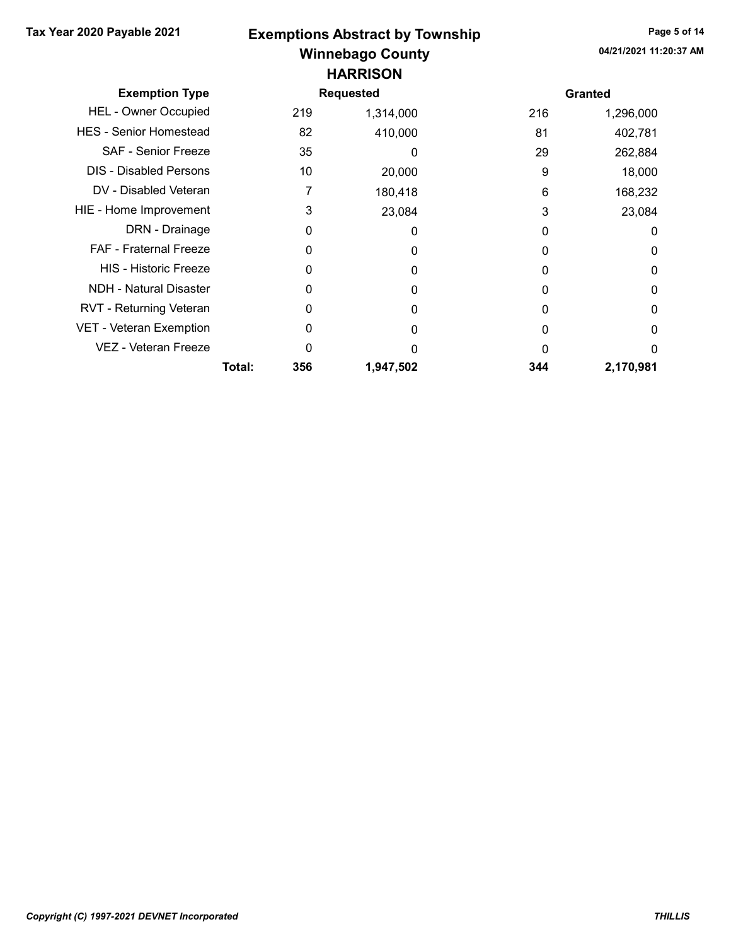# Winnebago County Tax Year 2020 Payable 2021 **Exemptions Abstract by Township** Page 5 of 14 **HARRISON**

| <b>Exemption Type</b>         |        |     | <b>Requested</b> |     | <b>Granted</b> |
|-------------------------------|--------|-----|------------------|-----|----------------|
| <b>HEL - Owner Occupied</b>   |        | 219 | 1,314,000        | 216 | 1,296,000      |
| <b>HES - Senior Homestead</b> |        | 82  | 410,000          | 81  | 402,781        |
| <b>SAF - Senior Freeze</b>    |        | 35  | 0                | 29  | 262,884        |
| <b>DIS</b> - Disabled Persons |        | 10  | 20,000           | 9   | 18,000         |
| DV - Disabled Veteran         |        | 7   | 180,418          | 6   | 168,232        |
| HIE - Home Improvement        |        | 3   | 23,084           | 3   | 23,084         |
| DRN - Drainage                |        | 0   | 0                | 0   | 0              |
| FAF - Fraternal Freeze        |        | 0   | 0                | 0   | 0              |
| <b>HIS - Historic Freeze</b>  |        | 0   | 0                | 0   | 0              |
| <b>NDH - Natural Disaster</b> |        | 0   | 0                | 0   | 0              |
| RVT - Returning Veteran       |        | 0   | 0                | 0   | 0              |
| VET - Veteran Exemption       |        | 0   | 0                | 0   | 0              |
| VEZ - Veteran Freeze          |        | O   | 0                | 0   | 0              |
|                               | Total: | 356 | 1,947,502        | 344 | 2,170,981      |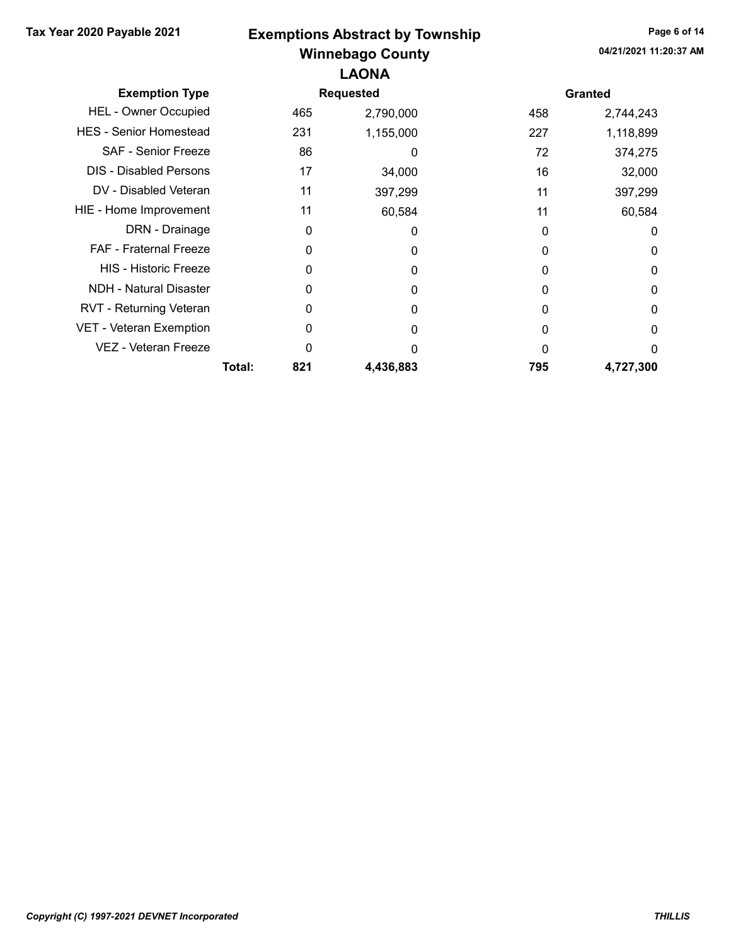### Winnebago County Tax Year 2020 Payable 2021 **Exemptions Abstract by Township** Page 6 of 14 LAONA

|                                |        |     | ------           |     |                |
|--------------------------------|--------|-----|------------------|-----|----------------|
| <b>Exemption Type</b>          |        |     | <b>Requested</b> |     | <b>Granted</b> |
| <b>HEL - Owner Occupied</b>    |        | 465 | 2,790,000        | 458 | 2,744,243      |
| <b>HES - Senior Homestead</b>  |        | 231 | 1,155,000        | 227 | 1,118,899      |
| <b>SAF - Senior Freeze</b>     |        | 86  | O                | 72  | 374,275        |
| <b>DIS</b> - Disabled Persons  |        | 17  | 34,000           | 16  | 32,000         |
| DV - Disabled Veteran          |        | 11  | 397,299          | 11  | 397,299        |
| HIE - Home Improvement         |        | 11  | 60,584           | 11  | 60,584         |
| DRN - Drainage                 |        | 0   | 0                | 0   | 0              |
| <b>FAF</b> - Fraternal Freeze  |        | 0   | 0                | 0   | 0              |
| <b>HIS - Historic Freeze</b>   |        | 0   | 0                | O   | 0              |
| NDH - Natural Disaster         |        | 0   | 0                | O   | 0              |
| RVT - Returning Veteran        |        | 0   | 0                | O   | 0              |
| <b>VET - Veteran Exemption</b> |        | 0   | O                | 0   | 0              |
| VEZ - Veteran Freeze           |        | O   | O                | 0   | 0              |
|                                | Total: | 821 | 4,436,883        | 795 | 4,727,300      |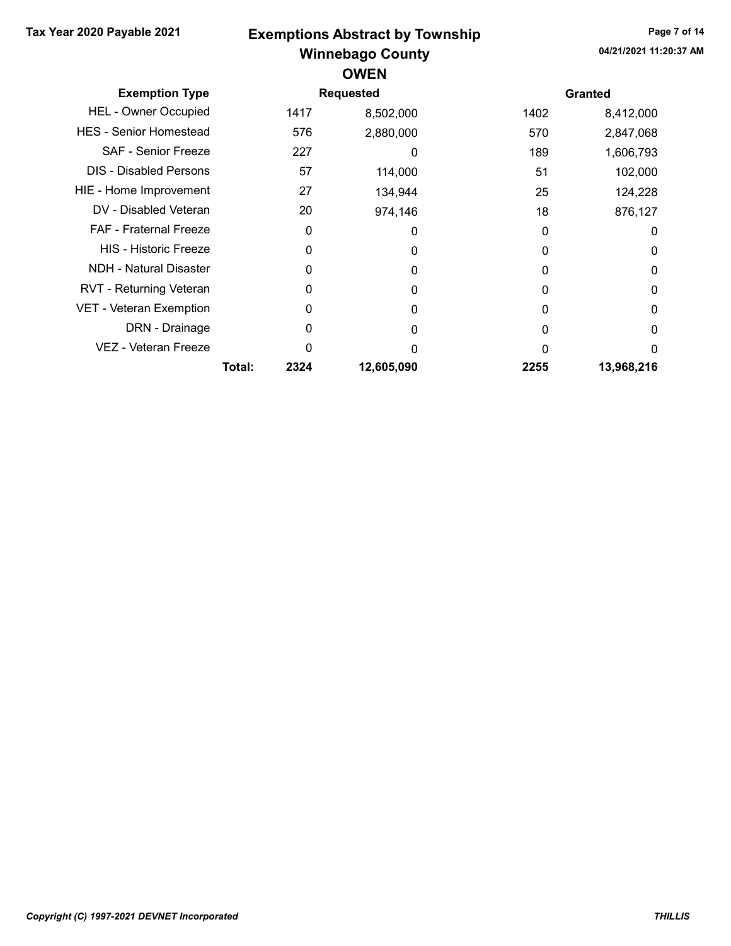## Winnebago County Tax Year 2020 Payable 2021 **Exemptions Abstract by Township** Page 7 of 14 OWEN

|                               |        |      | -----            |      |                |
|-------------------------------|--------|------|------------------|------|----------------|
| <b>Exemption Type</b>         |        |      | <b>Requested</b> |      | <b>Granted</b> |
| <b>HEL - Owner Occupied</b>   |        | 1417 | 8,502,000        | 1402 | 8,412,000      |
| <b>HES</b> - Senior Homestead |        | 576  | 2,880,000        | 570  | 2,847,068      |
| <b>SAF - Senior Freeze</b>    |        | 227  | 0                | 189  | 1,606,793      |
| <b>DIS</b> - Disabled Persons |        | 57   | 114,000          | 51   | 102,000        |
| HIE - Home Improvement        |        | 27   | 134,944          | 25   | 124,228        |
| DV - Disabled Veteran         |        | 20   | 974,146          | 18   | 876,127        |
| <b>FAF</b> - Fraternal Freeze |        | 0    | 0                | 0    | 0              |
| <b>HIS - Historic Freeze</b>  |        | 0    | 0                | 0    | 0              |
| <b>NDH - Natural Disaster</b> |        | 0    | 0                | O    | 0              |
| RVT - Returning Veteran       |        | 0    | 0                | O    | 0              |
| VET - Veteran Exemption       |        | 0    | 0                | O    | 0              |
| DRN - Drainage                |        | 0    | 0                | O    | 0              |
| VEZ - Veteran Freeze          |        | ი    | O                | n    | $\Omega$       |
|                               | Total: | 2324 | 12,605,090       | 2255 | 13,968,216     |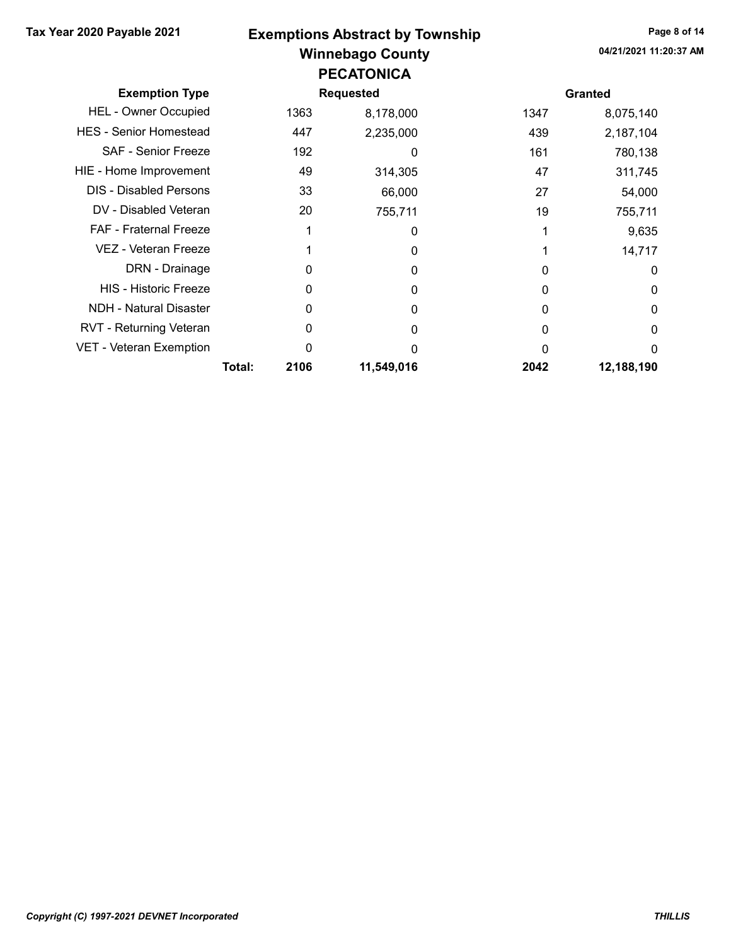### Winnebago County Tax Year 2020 Payable 2021 **Exemptions Abstract by Township** Page 8 of 14 PECATONICA

| <b>Exemption Type</b>         |        |      | <b>Requested</b> |      | <b>Granted</b> |
|-------------------------------|--------|------|------------------|------|----------------|
| <b>HEL - Owner Occupied</b>   |        | 1363 | 8,178,000        | 1347 | 8,075,140      |
| <b>HES</b> - Senior Homestead |        | 447  | 2,235,000        | 439  | 2,187,104      |
| SAF - Senior Freeze           |        | 192  | 0                | 161  | 780,138        |
| HIE - Home Improvement        |        | 49   | 314,305          | 47   | 311,745        |
| <b>DIS - Disabled Persons</b> |        | 33   | 66,000           | 27   | 54,000         |
| DV - Disabled Veteran         |        | 20   | 755,711          | 19   | 755,711        |
| <b>FAF</b> - Fraternal Freeze |        |      | 0                |      | 9,635          |
| VEZ - Veteran Freeze          |        |      | 0                |      | 14,717         |
| DRN - Drainage                |        | 0    | 0                | 0    | 0              |
| <b>HIS - Historic Freeze</b>  |        | 0    | O                | 0    | 0              |
| <b>NDH - Natural Disaster</b> |        | 0    | 0                | 0    | 0              |
| RVT - Returning Veteran       |        | 0    | O                | 0    | 0              |
| VET - Veteran Exemption       |        | ი    | O                | O    | $\Omega$       |
|                               | Total: | 2106 | 11,549,016       | 2042 | 12,188,190     |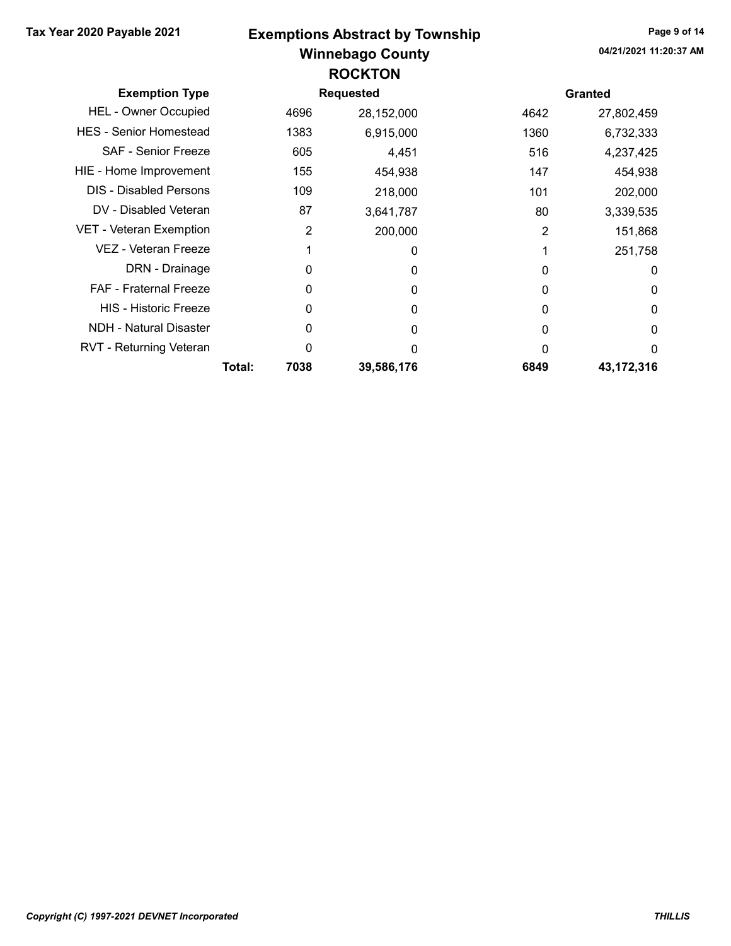# Winnebago County Tax Year 2020 Payable 2021 **Exemptions Abstract by Township** Page 9 of 14 **ROCKTON**

| <b>Exemption Type</b>         |        |      | <b>Requested</b> |      | <b>Granted</b> |
|-------------------------------|--------|------|------------------|------|----------------|
| <b>HEL - Owner Occupied</b>   |        | 4696 | 28,152,000       | 4642 | 27,802,459     |
| <b>HES</b> - Senior Homestead |        | 1383 | 6,915,000        | 1360 | 6,732,333      |
| <b>SAF - Senior Freeze</b>    |        | 605  | 4,451            | 516  | 4,237,425      |
| HIE - Home Improvement        |        | 155  | 454,938          | 147  | 454,938        |
| DIS - Disabled Persons        |        | 109  | 218,000          | 101  | 202,000        |
| DV - Disabled Veteran         |        | 87   | 3,641,787        | 80   | 3,339,535      |
| VET - Veteran Exemption       |        | 2    | 200,000          | 2    | 151,868        |
| VEZ - Veteran Freeze          |        |      | 0                |      | 251,758        |
| DRN - Drainage                |        | 0    | 0                | 0    | 0              |
| FAF - Fraternal Freeze        |        | 0    | 0                | 0    | 0              |
| <b>HIS - Historic Freeze</b>  |        | 0    | 0                | O    | 0              |
| <b>NDH - Natural Disaster</b> |        | 0    | 0                | 0    | 0              |
| RVT - Returning Veteran       |        | 0    | 0                | O    | 0              |
|                               | Total: | 7038 | 39,586,176       | 6849 | 43,172,316     |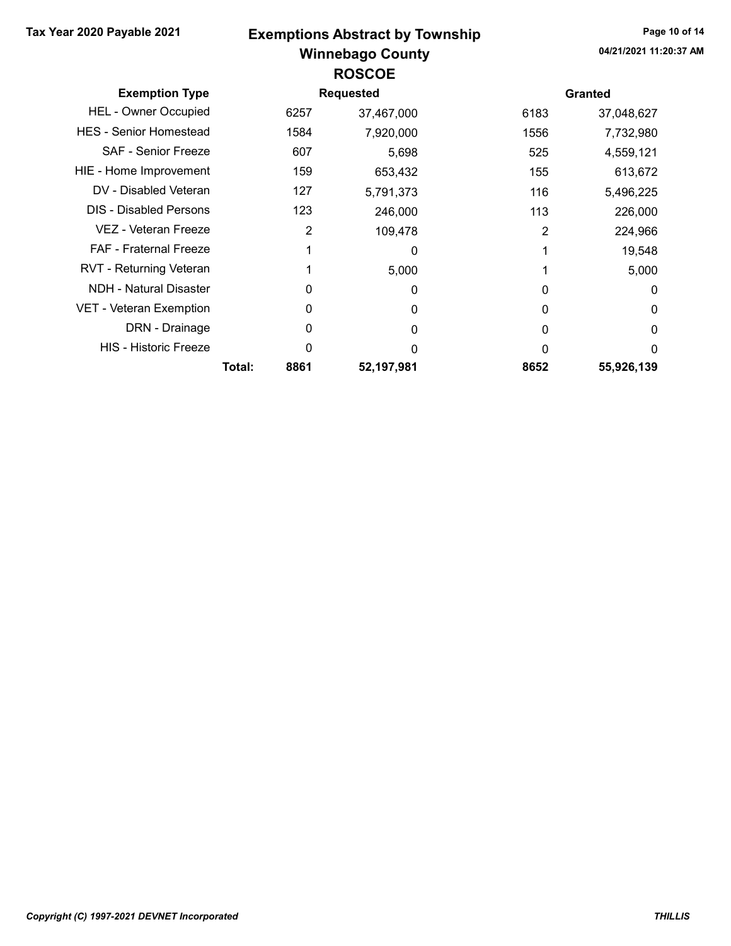# Winnebago County Tax Year 2020 Payable 2021 **Exemptions Abstract by Township** Page 10 of 14 ROSCOE

| <b>Exemption Type</b>         |        |      | <b>Requested</b> |      | <b>Granted</b> |  |  |  |
|-------------------------------|--------|------|------------------|------|----------------|--|--|--|
| <b>HEL - Owner Occupied</b>   |        | 6257 | 37,467,000       | 6183 | 37,048,627     |  |  |  |
| <b>HES</b> - Senior Homestead |        | 1584 | 7,920,000        | 1556 | 7,732,980      |  |  |  |
| SAF - Senior Freeze           |        | 607  | 5,698            | 525  | 4,559,121      |  |  |  |
| HIE - Home Improvement        |        | 159  | 653,432          | 155  | 613,672        |  |  |  |
| DV - Disabled Veteran         |        | 127  | 5,791,373        | 116  | 5,496,225      |  |  |  |
| <b>DIS</b> - Disabled Persons |        | 123  | 246,000          | 113  | 226,000        |  |  |  |
| VEZ - Veteran Freeze          |        | 2    | 109,478          | 2    | 224,966        |  |  |  |
| <b>FAF</b> - Fraternal Freeze |        |      | 0                |      | 19,548         |  |  |  |
| RVT - Returning Veteran       |        |      | 5,000            |      | 5,000          |  |  |  |
| <b>NDH - Natural Disaster</b> |        | O    | 0                | O    | 0              |  |  |  |
| VET - Veteran Exemption       |        | 0    | 0                | 0    | $\Omega$       |  |  |  |
| DRN - Drainage                |        | 0    | $\Omega$         | 0    | 0              |  |  |  |
| <b>HIS - Historic Freeze</b>  |        | 0    | 0                | O    | $\Omega$       |  |  |  |
|                               | Total: | 8861 | 52,197,981       | 8652 | 55,926,139     |  |  |  |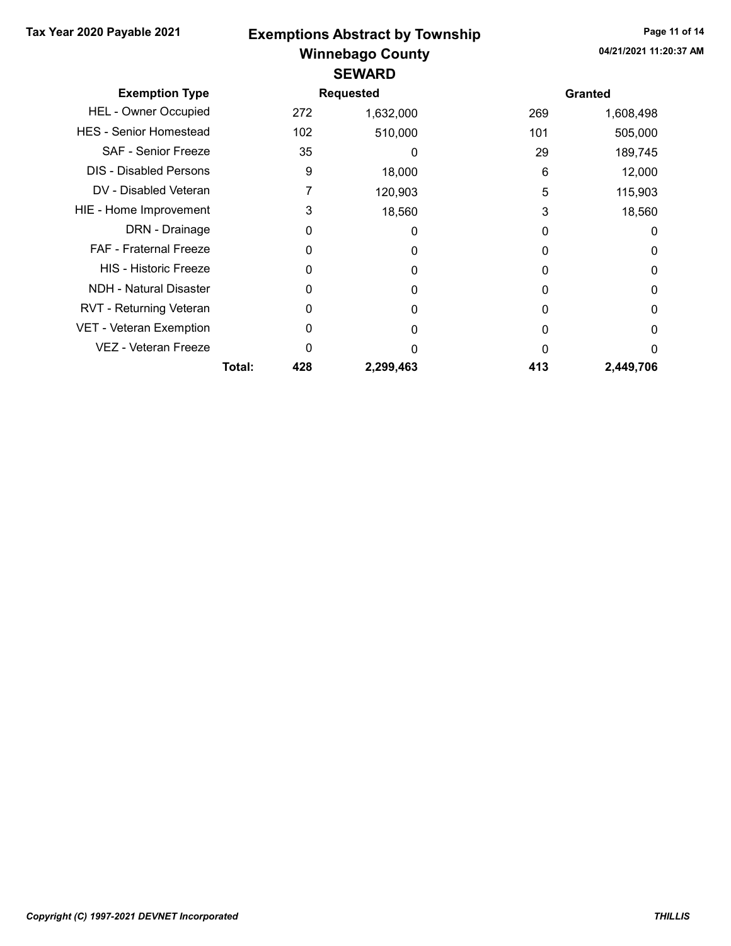## Winnebago County Tax Year 2020 Payable 2021 **Exemptions Abstract by Township** Page 11 of 14 **SEWARD**

| <b>Exemption Type</b>         |        |     | <b>Requested</b> |     | <b>Granted</b> |
|-------------------------------|--------|-----|------------------|-----|----------------|
| <b>HEL - Owner Occupied</b>   |        | 272 | 1,632,000        | 269 | 1,608,498      |
| <b>HES - Senior Homestead</b> |        | 102 | 510,000          | 101 | 505,000        |
| <b>SAF - Senior Freeze</b>    |        | 35  | 0                | 29  | 189,745        |
| <b>DIS - Disabled Persons</b> |        | 9   | 18,000           | 6   | 12,000         |
| DV - Disabled Veteran         |        |     | 120,903          | 5   | 115,903        |
| HIE - Home Improvement        |        | 3   | 18,560           | 3   | 18,560         |
| DRN - Drainage                |        | 0   | 0                | 0   | 0              |
| FAF - Fraternal Freeze        |        | O   | 0                | O   | 0              |
| <b>HIS - Historic Freeze</b>  |        | 0   | 0                | 0   | 0              |
| <b>NDH - Natural Disaster</b> |        | O   | $\Omega$         | O   | 0              |
| RVT - Returning Veteran       |        | 0   | 0                | 0   | 0              |
| VET - Veteran Exemption       |        | 0   | 0                | O   | 0              |
| VEZ - Veteran Freeze          |        | 0   | O                | n   | 0              |
|                               | Total: | 428 | 2,299,463        | 413 | 2,449,706      |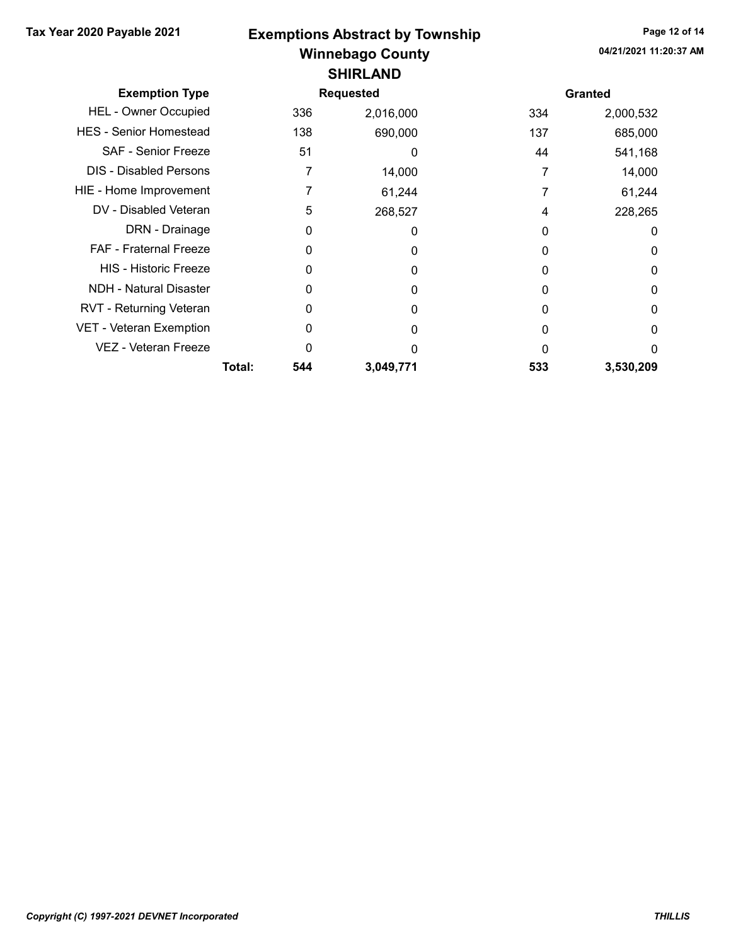#### Winnebago County Tax Year 2020 Payable 2021 **Exemptions Abstract by Township** Page 12 of 14 SHIRLAND

| <b>Exemption Type</b>          |        |     | <b>Requested</b> |     | <b>Granted</b> |
|--------------------------------|--------|-----|------------------|-----|----------------|
| <b>HEL - Owner Occupied</b>    |        | 336 | 2,016,000        | 334 | 2,000,532      |
| <b>HES</b> - Senior Homestead  |        | 138 | 690,000          | 137 | 685,000        |
| SAF - Senior Freeze            |        | 51  | 0                | 44  | 541,168        |
| <b>DIS</b> - Disabled Persons  |        |     | 14,000           |     | 14,000         |
| HIE - Home Improvement         |        |     | 61,244           |     | 61,244         |
| DV - Disabled Veteran          |        | 5   | 268,527          | 4   | 228,265        |
| DRN - Drainage                 |        | 0   | 0                | O   | 0              |
| <b>FAF</b> - Fraternal Freeze  |        | 0   | 0                |     | 0              |
| <b>HIS - Historic Freeze</b>   |        | 0   | 0                |     | 0              |
| <b>NDH - Natural Disaster</b>  |        | 0   | 0                |     | 0              |
| RVT - Returning Veteran        |        | 0   | 0                |     | 0              |
| <b>VET - Veteran Exemption</b> |        | 0   | 0                |     | 0              |
| VEZ - Veteran Freeze           |        | O   |                  |     | 0              |
|                                | Total: | 544 | 3,049,771        | 533 | 3,530,209      |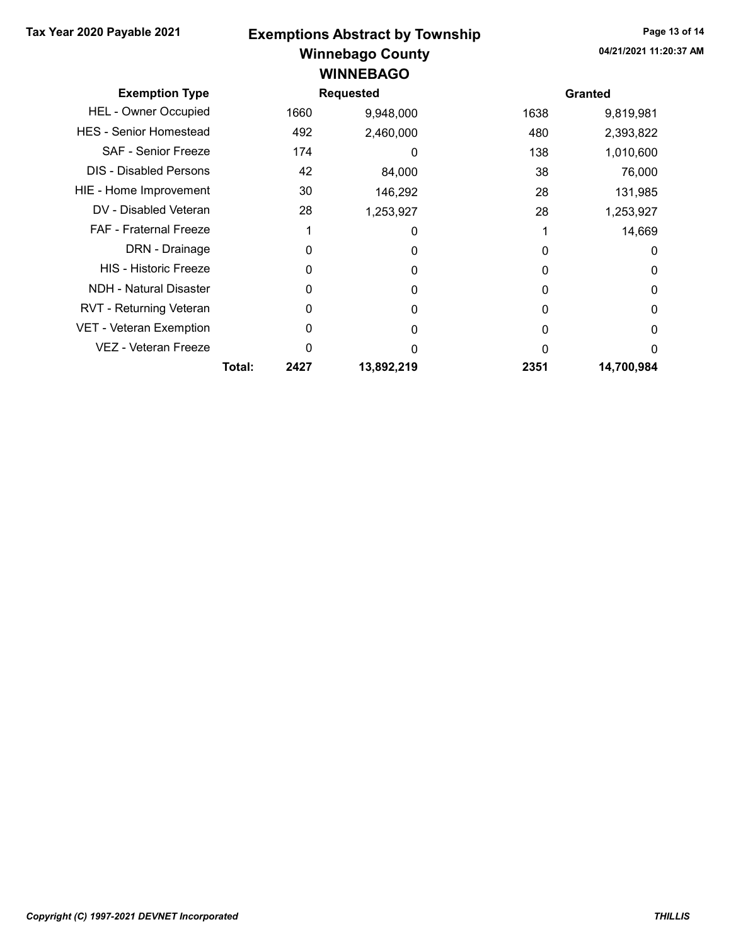#### Winnebago County Tax Year 2020 Payable 2021 **Exemptions Abstract by Township** Page 13 of 14 WINNEBAGO

| <b>Exemption Type</b>         |        |      | <b>Requested</b> |      | <b>Granted</b> |  |
|-------------------------------|--------|------|------------------|------|----------------|--|
| <b>HEL - Owner Occupied</b>   |        | 1660 | 9,948,000        | 1638 | 9,819,981      |  |
| <b>HES - Senior Homestead</b> |        | 492  | 2,460,000        | 480  | 2,393,822      |  |
| SAF - Senior Freeze           |        | 174  | 0                | 138  | 1,010,600      |  |
| <b>DIS - Disabled Persons</b> |        | 42   | 84,000           | 38   | 76,000         |  |
| HIE - Home Improvement        |        | 30   | 146,292          | 28   | 131,985        |  |
| DV - Disabled Veteran         |        | 28   | 1,253,927        | 28   | 1,253,927      |  |
| <b>FAF</b> - Fraternal Freeze |        |      | 0                |      | 14,669         |  |
| DRN - Drainage                |        | 0    | 0                | O    | 0              |  |
| <b>HIS - Historic Freeze</b>  |        | 0    | 0                | 0    | 0              |  |
| <b>NDH - Natural Disaster</b> |        | 0    | 0                | 0    | 0              |  |
| RVT - Returning Veteran       |        | 0    | 0                | 0    | 0              |  |
| VET - Veteran Exemption       |        | 0    | 0                | 0    | 0              |  |
| VEZ - Veteran Freeze          |        | ი    | O                | O    | $\Omega$       |  |
|                               | Total: | 2427 | 13,892,219       | 2351 | 14,700,984     |  |